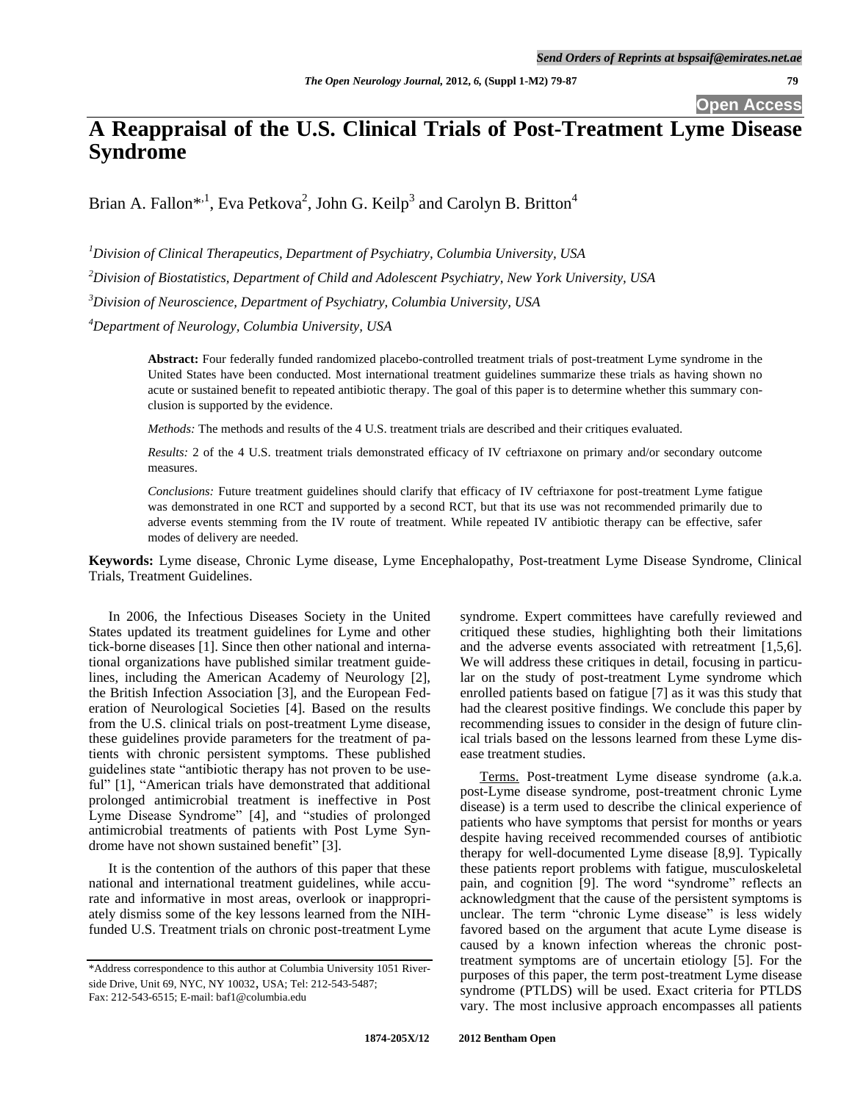**Open Access**

# **A Reappraisal of the U.S. Clinical Trials of Post-Treatment Lyme Disease Syndrome**

Brian A. Fallon\*<sup>1</sup>, Eva Petkova<sup>2</sup>, John G. Keilp<sup>3</sup> and Carolyn B. Britton<sup>4</sup>

*<sup>1</sup>Division of Clinical Therapeutics, Department of Psychiatry, Columbia University, USA*

*<sup>2</sup>Division of Biostatistics, Department of Child and Adolescent Psychiatry, New York University, USA*

*<sup>3</sup>Division of Neuroscience, Department of Psychiatry, Columbia University, USA*

*<sup>4</sup>Department of Neurology, Columbia University, USA*

**Abstract:** Four federally funded randomized placebo-controlled treatment trials of post-treatment Lyme syndrome in the United States have been conducted. Most international treatment guidelines summarize these trials as having shown no acute or sustained benefit to repeated antibiotic therapy. The goal of this paper is to determine whether this summary conclusion is supported by the evidence.

*Methods:* The methods and results of the 4 U.S. treatment trials are described and their critiques evaluated.

*Results:* 2 of the 4 U.S. treatment trials demonstrated efficacy of IV ceftriaxone on primary and/or secondary outcome measures.

*Conclusions:* Future treatment guidelines should clarify that efficacy of IV ceftriaxone for post-treatment Lyme fatigue was demonstrated in one RCT and supported by a second RCT, but that its use was not recommended primarily due to adverse events stemming from the IV route of treatment. While repeated IV antibiotic therapy can be effective, safer modes of delivery are needed.

**Keywords:** Lyme disease, Chronic Lyme disease, Lyme Encephalopathy, Post-treatment Lyme Disease Syndrome, Clinical Trials, Treatment Guidelines.

In 2006, the Infectious Diseases Society in the United States updated its treatment guidelines for Lyme and other tick-borne diseases [1]. Since then other national and international organizations have published similar treatment guidelines, including the American Academy of Neurology [2], the British Infection Association [3], and the European Federation of Neurological Societies [4]. Based on the results from the U.S. clinical trials on post-treatment Lyme disease, these guidelines provide parameters for the treatment of patients with chronic persistent symptoms. These published guidelines state "antibiotic therapy has not proven to be useful" [1], "American trials have demonstrated that additional prolonged antimicrobial treatment is ineffective in Post Lyme Disease Syndrome" [4], and "studies of prolonged antimicrobial treatments of patients with Post Lyme Syndrome have not shown sustained benefit" [3].

It is the contention of the authors of this paper that these national and international treatment guidelines, while accurate and informative in most areas, overlook or inappropriately dismiss some of the key lessons learned from the NIHfunded U.S. Treatment trials on chronic post-treatment Lyme syndrome. Expert committees have carefully reviewed and critiqued these studies, highlighting both their limitations and the adverse events associated with retreatment [1,5,6]. We will address these critiques in detail, focusing in particular on the study of post-treatment Lyme syndrome which enrolled patients based on fatigue [7] as it was this study that had the clearest positive findings. We conclude this paper by recommending issues to consider in the design of future clinical trials based on the lessons learned from these Lyme disease treatment studies.

Terms. Post-treatment Lyme disease syndrome (a.k.a. post-Lyme disease syndrome, post-treatment chronic Lyme disease) is a term used to describe the clinical experience of patients who have symptoms that persist for months or years despite having received recommended courses of antibiotic therapy for well-documented Lyme disease [8,9]. Typically these patients report problems with fatigue, musculoskeletal pain, and cognition [9]. The word "syndrome" reflects an acknowledgment that the cause of the persistent symptoms is unclear. The term "chronic Lyme disease" is less widely favored based on the argument that acute Lyme disease is caused by a known infection whereas the chronic posttreatment symptoms are of uncertain etiology [5]. For the purposes of this paper, the term post-treatment Lyme disease syndrome (PTLDS) will be used. Exact criteria for PTLDS vary. The most inclusive approach encompasses all patients

<sup>\*</sup>Address correspondence to this author at Columbia University 1051 Riverside Drive, Unit 69, NYC, NY 10032, USA; Tel: 212-543-5487; Fax: 212-543-6515; E-mail: baf1@columbia.edu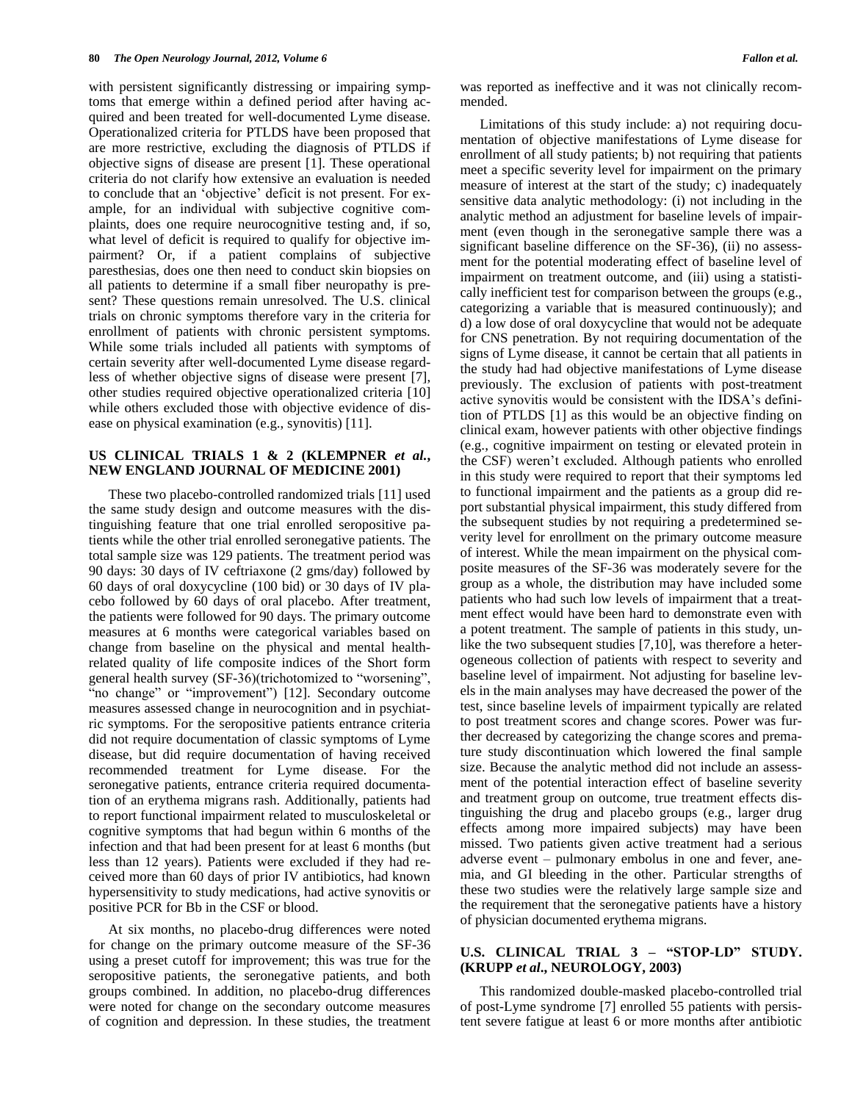with persistent significantly distressing or impairing symptoms that emerge within a defined period after having acquired and been treated for well-documented Lyme disease. Operationalized criteria for PTLDS have been proposed that are more restrictive, excluding the diagnosis of PTLDS if objective signs of disease are present [1]. These operational criteria do not clarify how extensive an evaluation is needed to conclude that an 'objective' deficit is not present. For example, for an individual with subjective cognitive complaints, does one require neurocognitive testing and, if so, what level of deficit is required to qualify for objective impairment? Or, if a patient complains of subjective paresthesias, does one then need to conduct skin biopsies on all patients to determine if a small fiber neuropathy is present? These questions remain unresolved. The U.S. clinical trials on chronic symptoms therefore vary in the criteria for enrollment of patients with chronic persistent symptoms. While some trials included all patients with symptoms of certain severity after well-documented Lyme disease regardless of whether objective signs of disease were present [7], other studies required objective operationalized criteria [10] while others excluded those with objective evidence of disease on physical examination (e.g., synovitis) [11].

#### **US CLINICAL TRIALS 1 & 2 (KLEMPNER** *et al.***, NEW ENGLAND JOURNAL OF MEDICINE 2001)**

These two placebo-controlled randomized trials [11] used the same study design and outcome measures with the distinguishing feature that one trial enrolled seropositive patients while the other trial enrolled seronegative patients. The total sample size was 129 patients. The treatment period was 90 days: 30 days of IV ceftriaxone (2 gms/day) followed by 60 days of oral doxycycline (100 bid) or 30 days of IV placebo followed by 60 days of oral placebo. After treatment, the patients were followed for 90 days. The primary outcome measures at 6 months were categorical variables based on change from baseline on the physical and mental healthrelated quality of life composite indices of the Short form general health survey (SF-36)(trichotomized to "worsening", "no change" or "improvement") [12]. Secondary outcome measures assessed change in neurocognition and in psychiatric symptoms. For the seropositive patients entrance criteria did not require documentation of classic symptoms of Lyme disease, but did require documentation of having received recommended treatment for Lyme disease. For the seronegative patients, entrance criteria required documentation of an erythema migrans rash. Additionally, patients had to report functional impairment related to musculoskeletal or cognitive symptoms that had begun within 6 months of the infection and that had been present for at least 6 months (but less than 12 years). Patients were excluded if they had received more than 60 days of prior IV antibiotics, had known hypersensitivity to study medications, had active synovitis or positive PCR for Bb in the CSF or blood.

At six months, no placebo-drug differences were noted for change on the primary outcome measure of the SF-36 using a preset cutoff for improvement; this was true for the seropositive patients, the seronegative patients, and both groups combined. In addition, no placebo-drug differences were noted for change on the secondary outcome measures of cognition and depression. In these studies, the treatment was reported as ineffective and it was not clinically recommended.

Limitations of this study include: a) not requiring documentation of objective manifestations of Lyme disease for enrollment of all study patients; b) not requiring that patients meet a specific severity level for impairment on the primary measure of interest at the start of the study; c) inadequately sensitive data analytic methodology: (i) not including in the analytic method an adjustment for baseline levels of impairment (even though in the seronegative sample there was a significant baseline difference on the SF-36), (ii) no assessment for the potential moderating effect of baseline level of impairment on treatment outcome, and (iii) using a statistically inefficient test for comparison between the groups (e.g., categorizing a variable that is measured continuously); and d) a low dose of oral doxycycline that would not be adequate for CNS penetration. By not requiring documentation of the signs of Lyme disease, it cannot be certain that all patients in the study had had objective manifestations of Lyme disease previously. The exclusion of patients with post-treatment active synovitis would be consistent with the IDSA's definition of PTLDS [1] as this would be an objective finding on clinical exam, however patients with other objective findings (e.g., cognitive impairment on testing or elevated protein in the CSF) weren't excluded. Although patients who enrolled in this study were required to report that their symptoms led to functional impairment and the patients as a group did report substantial physical impairment, this study differed from the subsequent studies by not requiring a predetermined severity level for enrollment on the primary outcome measure of interest. While the mean impairment on the physical composite measures of the SF-36 was moderately severe for the group as a whole, the distribution may have included some patients who had such low levels of impairment that a treatment effect would have been hard to demonstrate even with a potent treatment. The sample of patients in this study, unlike the two subsequent studies [7,10], was therefore a heterogeneous collection of patients with respect to severity and baseline level of impairment. Not adjusting for baseline levels in the main analyses may have decreased the power of the test, since baseline levels of impairment typically are related to post treatment scores and change scores. Power was further decreased by categorizing the change scores and premature study discontinuation which lowered the final sample size. Because the analytic method did not include an assessment of the potential interaction effect of baseline severity and treatment group on outcome, true treatment effects distinguishing the drug and placebo groups (e.g., larger drug effects among more impaired subjects) may have been missed. Two patients given active treatment had a serious adverse event – pulmonary embolus in one and fever, anemia, and GI bleeding in the other. Particular strengths of these two studies were the relatively large sample size and the requirement that the seronegative patients have a history of physician documented erythema migrans.

## **U.S. CLINICAL TRIAL 3 – "STOP-LD" STUDY. (KRUPP** *et al***., NEUROLOGY, 2003)**

This randomized double-masked placebo-controlled trial of post-Lyme syndrome [7] enrolled 55 patients with persistent severe fatigue at least 6 or more months after antibiotic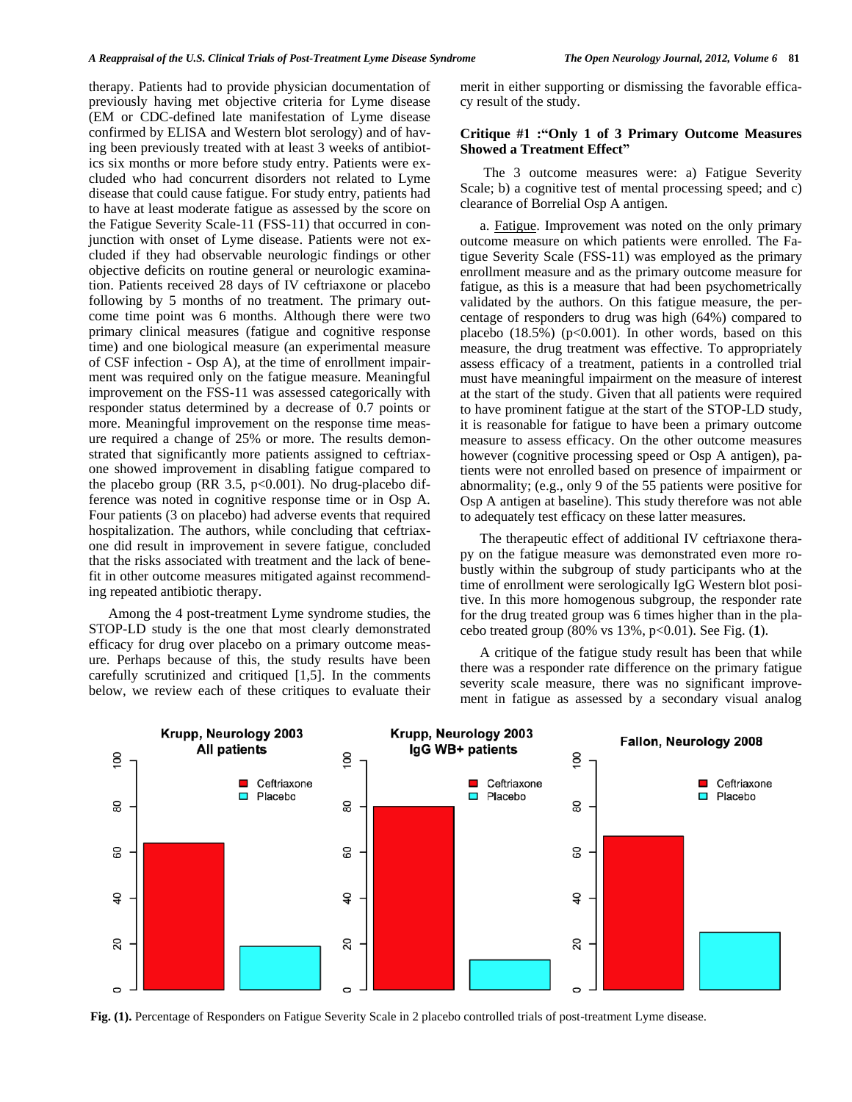therapy. Patients had to provide physician documentation of previously having met objective criteria for Lyme disease (EM or CDC-defined late manifestation of Lyme disease confirmed by ELISA and Western blot serology) and of having been previously treated with at least 3 weeks of antibiotics six months or more before study entry. Patients were excluded who had concurrent disorders not related to Lyme disease that could cause fatigue. For study entry, patients had to have at least moderate fatigue as assessed by the score on the Fatigue Severity Scale-11 (FSS-11) that occurred in conjunction with onset of Lyme disease. Patients were not excluded if they had observable neurologic findings or other objective deficits on routine general or neurologic examination. Patients received 28 days of IV ceftriaxone or placebo following by 5 months of no treatment. The primary outcome time point was 6 months. Although there were two primary clinical measures (fatigue and cognitive response time) and one biological measure (an experimental measure of CSF infection - Osp A), at the time of enrollment impairment was required only on the fatigue measure. Meaningful improvement on the FSS-11 was assessed categorically with responder status determined by a decrease of 0.7 points or more. Meaningful improvement on the response time measure required a change of 25% or more. The results demonstrated that significantly more patients assigned to ceftriaxone showed improvement in disabling fatigue compared to the placebo group (RR 3.5,  $p<0.001$ ). No drug-placebo difference was noted in cognitive response time or in Osp A. Four patients (3 on placebo) had adverse events that required hospitalization. The authors, while concluding that ceftriaxone did result in improvement in severe fatigue, concluded that the risks associated with treatment and the lack of benefit in other outcome measures mitigated against recommending repeated antibiotic therapy.

Among the 4 post-treatment Lyme syndrome studies, the STOP-LD study is the one that most clearly demonstrated efficacy for drug over placebo on a primary outcome measure. Perhaps because of this, the study results have been carefully scrutinized and critiqued [1,5]. In the comments below, we review each of these critiques to evaluate their merit in either supporting or dismissing the favorable efficacy result of the study.

#### **Critique #1 :"Only 1 of 3 Primary Outcome Measures Showed a Treatment Effect"**

The 3 outcome measures were: a) Fatigue Severity Scale; b) a cognitive test of mental processing speed; and c) clearance of Borrelial Osp A antigen.

a. Fatigue. Improvement was noted on the only primary outcome measure on which patients were enrolled. The Fatigue Severity Scale (FSS-11) was employed as the primary enrollment measure and as the primary outcome measure for fatigue, as this is a measure that had been psychometrically validated by the authors. On this fatigue measure, the percentage of responders to drug was high (64%) compared to placebo  $(18.5\%)$  (p<0.001). In other words, based on this measure, the drug treatment was effective. To appropriately assess efficacy of a treatment, patients in a controlled trial must have meaningful impairment on the measure of interest at the start of the study. Given that all patients were required to have prominent fatigue at the start of the STOP-LD study, it is reasonable for fatigue to have been a primary outcome measure to assess efficacy. On the other outcome measures however (cognitive processing speed or Osp A antigen), patients were not enrolled based on presence of impairment or abnormality; (e.g., only 9 of the 55 patients were positive for Osp A antigen at baseline). This study therefore was not able to adequately test efficacy on these latter measures.

The therapeutic effect of additional IV ceftriaxone therapy on the fatigue measure was demonstrated even more robustly within the subgroup of study participants who at the time of enrollment were serologically IgG Western blot positive. In this more homogenous subgroup, the responder rate for the drug treated group was 6 times higher than in the placebo treated group (80% vs 13%, p<0.01). See Fig. (**1**).

A critique of the fatigue study result has been that while there was a responder rate difference on the primary fatigue severity scale measure, there was no significant improvement in fatigue as assessed by a secondary visual analog



**Fig. (1).** Percentage of Responders on Fatigue Severity Scale in 2 placebo controlled trials of post-treatment Lyme disease.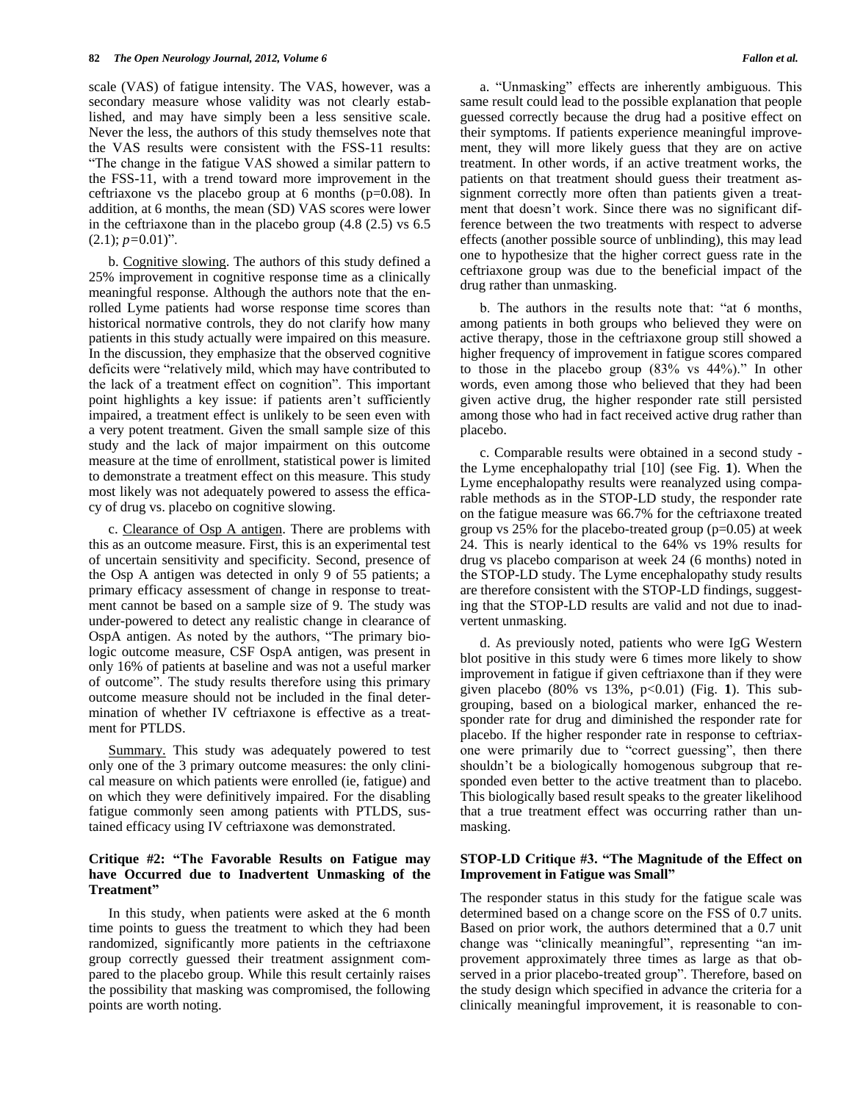scale (VAS) of fatigue intensity. The VAS, however, was a secondary measure whose validity was not clearly established, and may have simply been a less sensitive scale. Never the less, the authors of this study themselves note that the VAS results were consistent with the FSS-11 results: "The change in the fatigue VAS showed a similar pattern to the FSS-11, with a trend toward more improvement in the ceftriaxone vs the placebo group at 6 months ( $p=0.08$ ). In addition, at 6 months, the mean (SD) VAS scores were lower in the ceftriaxone than in the placebo group (4.8 (2.5) vs 6.5  $(2.1); p=0.01$ <sup>"</sup>.

b. Cognitive slowing. The authors of this study defined a 25% improvement in cognitive response time as a clinically meaningful response. Although the authors note that the enrolled Lyme patients had worse response time scores than historical normative controls, they do not clarify how many patients in this study actually were impaired on this measure. In the discussion, they emphasize that the observed cognitive deficits were "relatively mild, which may have contributed to the lack of a treatment effect on cognition". This important point highlights a key issue: if patients aren't sufficiently impaired, a treatment effect is unlikely to be seen even with a very potent treatment. Given the small sample size of this study and the lack of major impairment on this outcome measure at the time of enrollment, statistical power is limited to demonstrate a treatment effect on this measure. This study most likely was not adequately powered to assess the efficacy of drug vs. placebo on cognitive slowing.

c. Clearance of Osp A antigen. There are problems with this as an outcome measure. First, this is an experimental test of uncertain sensitivity and specificity. Second, presence of the Osp A antigen was detected in only 9 of 55 patients; a primary efficacy assessment of change in response to treatment cannot be based on a sample size of 9. The study was under-powered to detect any realistic change in clearance of OspA antigen. As noted by the authors, "The primary biologic outcome measure, CSF OspA antigen, was present in only 16% of patients at baseline and was not a useful marker of outcome". The study results therefore using this primary outcome measure should not be included in the final determination of whether IV ceftriaxone is effective as a treatment for PTLDS.

Summary. This study was adequately powered to test only one of the 3 primary outcome measures: the only clinical measure on which patients were enrolled (ie, fatigue) and on which they were definitively impaired. For the disabling fatigue commonly seen among patients with PTLDS, sustained efficacy using IV ceftriaxone was demonstrated.

# **Critique #2: "The Favorable Results on Fatigue may have Occurred due to Inadvertent Unmasking of the Treatment"**

In this study, when patients were asked at the 6 month time points to guess the treatment to which they had been randomized, significantly more patients in the ceftriaxone group correctly guessed their treatment assignment compared to the placebo group. While this result certainly raises the possibility that masking was compromised, the following points are worth noting.

a. "Unmasking" effects are inherently ambiguous. This same result could lead to the possible explanation that people guessed correctly because the drug had a positive effect on their symptoms. If patients experience meaningful improvement, they will more likely guess that they are on active treatment. In other words, if an active treatment works, the patients on that treatment should guess their treatment assignment correctly more often than patients given a treatment that doesn't work. Since there was no significant difference between the two treatments with respect to adverse effects (another possible source of unblinding), this may lead one to hypothesize that the higher correct guess rate in the ceftriaxone group was due to the beneficial impact of the drug rather than unmasking.

b. The authors in the results note that: "at 6 months, among patients in both groups who believed they were on active therapy, those in the ceftriaxone group still showed a higher frequency of improvement in fatigue scores compared to those in the placebo group (83% vs 44%)." In other words, even among those who believed that they had been given active drug, the higher responder rate still persisted among those who had in fact received active drug rather than placebo.

c. Comparable results were obtained in a second study the Lyme encephalopathy trial [10] (see Fig. **1**). When the Lyme encephalopathy results were reanalyzed using comparable methods as in the STOP-LD study, the responder rate on the fatigue measure was 66.7% for the ceftriaxone treated group vs 25% for the placebo-treated group (p=0.05) at week 24. This is nearly identical to the 64% vs 19% results for drug vs placebo comparison at week 24 (6 months) noted in the STOP-LD study. The Lyme encephalopathy study results are therefore consistent with the STOP-LD findings, suggesting that the STOP-LD results are valid and not due to inadvertent unmasking.

d. As previously noted, patients who were IgG Western blot positive in this study were 6 times more likely to show improvement in fatigue if given ceftriaxone than if they were given placebo (80% vs 13%, p<0.01) (Fig. **1**). This subgrouping, based on a biological marker, enhanced the responder rate for drug and diminished the responder rate for placebo. If the higher responder rate in response to ceftriaxone were primarily due to "correct guessing", then there shouldn't be a biologically homogenous subgroup that responded even better to the active treatment than to placebo. This biologically based result speaks to the greater likelihood that a true treatment effect was occurring rather than unmasking.

## **STOP-LD Critique #3. "The Magnitude of the Effect on Improvement in Fatigue was Small"**

The responder status in this study for the fatigue scale was determined based on a change score on the FSS of 0.7 units. Based on prior work, the authors determined that a 0.7 unit change was "clinically meaningful", representing "an improvement approximately three times as large as that observed in a prior placebo-treated group". Therefore, based on the study design which specified in advance the criteria for a clinically meaningful improvement, it is reasonable to con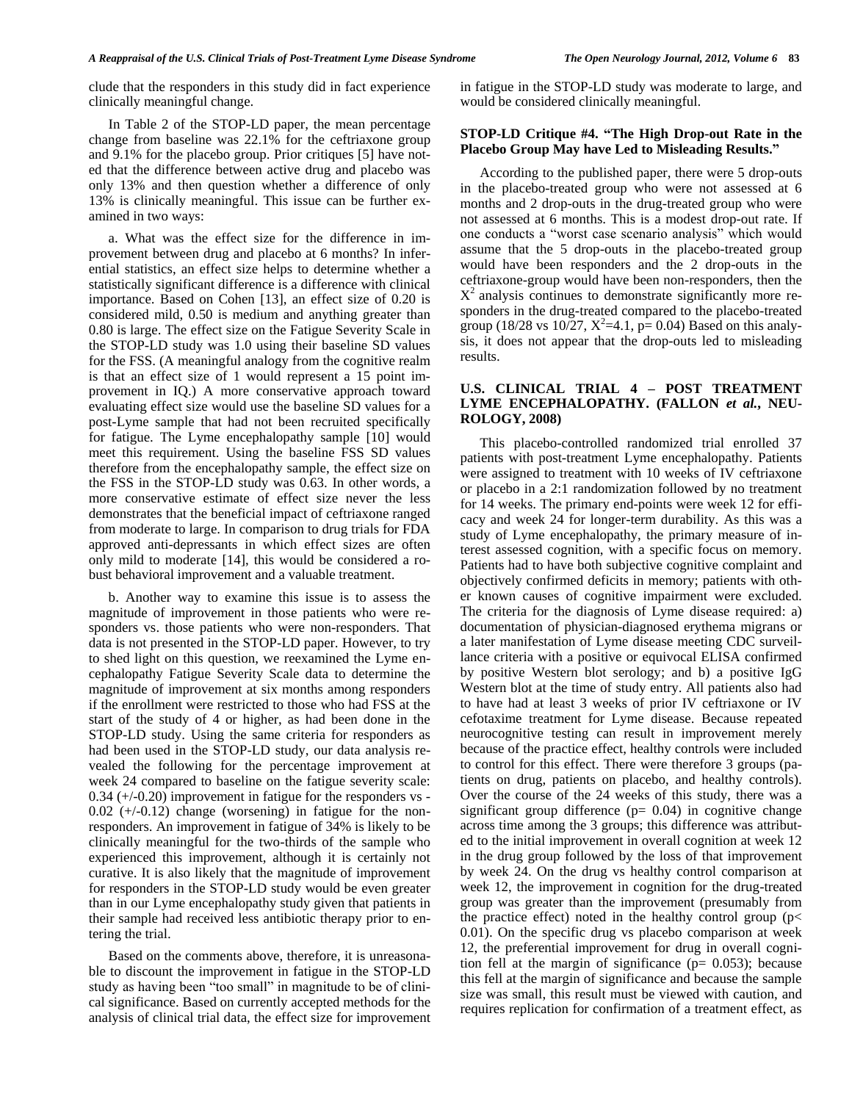clude that the responders in this study did in fact experience clinically meaningful change.

In Table 2 of the STOP-LD paper, the mean percentage change from baseline was 22.1% for the ceftriaxone group and 9.1% for the placebo group. Prior critiques [5] have noted that the difference between active drug and placebo was only 13% and then question whether a difference of only 13% is clinically meaningful. This issue can be further examined in two ways:

a. What was the effect size for the difference in improvement between drug and placebo at 6 months? In inferential statistics, an effect size helps to determine whether a statistically significant difference is a difference with clinical importance. Based on Cohen [13], an effect size of 0.20 is considered mild, 0.50 is medium and anything greater than 0.80 is large. The effect size on the Fatigue Severity Scale in the STOP-LD study was 1.0 using their baseline SD values for the FSS. (A meaningful analogy from the cognitive realm is that an effect size of 1 would represent a 15 point improvement in IQ.) A more conservative approach toward evaluating effect size would use the baseline SD values for a post-Lyme sample that had not been recruited specifically for fatigue. The Lyme encephalopathy sample [10] would meet this requirement. Using the baseline FSS SD values therefore from the encephalopathy sample, the effect size on the FSS in the STOP-LD study was 0.63. In other words, a more conservative estimate of effect size never the less demonstrates that the beneficial impact of ceftriaxone ranged from moderate to large. In comparison to drug trials for FDA approved anti-depressants in which effect sizes are often only mild to moderate [14], this would be considered a robust behavioral improvement and a valuable treatment.

b. Another way to examine this issue is to assess the magnitude of improvement in those patients who were responders vs. those patients who were non-responders. That data is not presented in the STOP-LD paper. However, to try to shed light on this question, we reexamined the Lyme encephalopathy Fatigue Severity Scale data to determine the magnitude of improvement at six months among responders if the enrollment were restricted to those who had FSS at the start of the study of 4 or higher, as had been done in the STOP-LD study. Using the same criteria for responders as had been used in the STOP-LD study, our data analysis revealed the following for the percentage improvement at week 24 compared to baseline on the fatigue severity scale: 0.34 (+/-0.20) improvement in fatigue for the responders vs -  $0.02$  ( $+/-0.12$ ) change (worsening) in fatigue for the nonresponders. An improvement in fatigue of 34% is likely to be clinically meaningful for the two-thirds of the sample who experienced this improvement, although it is certainly not curative. It is also likely that the magnitude of improvement for responders in the STOP-LD study would be even greater than in our Lyme encephalopathy study given that patients in their sample had received less antibiotic therapy prior to entering the trial.

Based on the comments above, therefore, it is unreasonable to discount the improvement in fatigue in the STOP-LD study as having been "too small" in magnitude to be of clinical significance. Based on currently accepted methods for the analysis of clinical trial data, the effect size for improvement in fatigue in the STOP-LD study was moderate to large, and would be considered clinically meaningful.

#### **STOP-LD Critique #4. "The High Drop-out Rate in the Placebo Group May have Led to Misleading Results."**

According to the published paper, there were 5 drop-outs in the placebo-treated group who were not assessed at 6 months and 2 drop-outs in the drug-treated group who were not assessed at 6 months. This is a modest drop-out rate. If one conducts a "worst case scenario analysis" which would assume that the 5 drop-outs in the placebo-treated group would have been responders and the 2 drop-outs in the ceftriaxone-group would have been non-responders, then the  $X^2$  analysis continues to demonstrate significantly more responders in the drug-treated compared to the placebo-treated group (18/28 vs 10/27,  $X^2$ =4.1, p= 0.04) Based on this analysis, it does not appear that the drop-outs led to misleading results.

# **U.S. CLINICAL TRIAL 4 – POST TREATMENT LYME ENCEPHALOPATHY. (FALLON** *et al.***, NEU-ROLOGY, 2008)**

This placebo-controlled randomized trial enrolled 37 patients with post-treatment Lyme encephalopathy. Patients were assigned to treatment with 10 weeks of IV ceftriaxone or placebo in a 2:1 randomization followed by no treatment for 14 weeks. The primary end-points were week 12 for efficacy and week 24 for longer-term durability. As this was a study of Lyme encephalopathy, the primary measure of interest assessed cognition, with a specific focus on memory. Patients had to have both subjective cognitive complaint and objectively confirmed deficits in memory; patients with other known causes of cognitive impairment were excluded. The criteria for the diagnosis of Lyme disease required: a) documentation of physician-diagnosed erythema migrans or a later manifestation of Lyme disease meeting CDC surveillance criteria with a positive or equivocal ELISA confirmed by positive Western blot serology; and b) a positive IgG Western blot at the time of study entry. All patients also had to have had at least 3 weeks of prior IV ceftriaxone or IV cefotaxime treatment for Lyme disease. Because repeated neurocognitive testing can result in improvement merely because of the practice effect, healthy controls were included to control for this effect. There were therefore 3 groups (patients on drug, patients on placebo, and healthy controls). Over the course of the 24 weeks of this study, there was a significant group difference  $(p= 0.04)$  in cognitive change across time among the 3 groups; this difference was attributed to the initial improvement in overall cognition at week 12 in the drug group followed by the loss of that improvement by week 24. On the drug vs healthy control comparison at week 12, the improvement in cognition for the drug-treated group was greater than the improvement (presumably from the practice effect) noted in the healthy control group ( $p$ < 0.01). On the specific drug vs placebo comparison at week 12, the preferential improvement for drug in overall cognition fell at the margin of significance ( $p= 0.053$ ); because this fell at the margin of significance and because the sample size was small, this result must be viewed with caution, and requires replication for confirmation of a treatment effect, as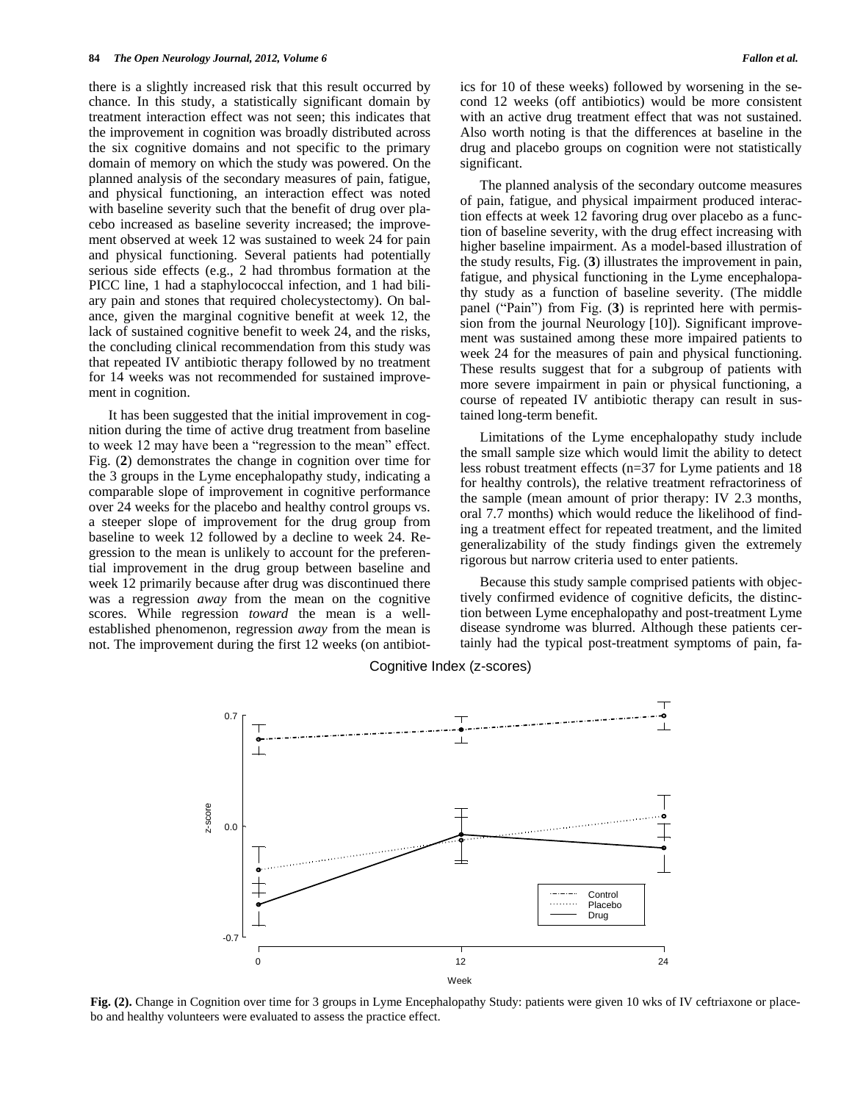there is a slightly increased risk that this result occurred by chance. In this study, a statistically significant domain by treatment interaction effect was not seen; this indicates that the improvement in cognition was broadly distributed across the six cognitive domains and not specific to the primary domain of memory on which the study was powered. On the planned analysis of the secondary measures of pain, fatigue, and physical functioning, an interaction effect was noted with baseline severity such that the benefit of drug over placebo increased as baseline severity increased; the improvement observed at week 12 was sustained to week 24 for pain and physical functioning. Several patients had potentially serious side effects (e.g., 2 had thrombus formation at the PICC line, 1 had a staphylococcal infection, and 1 had biliary pain and stones that required cholecystectomy). On balance, given the marginal cognitive benefit at week 12, the lack of sustained cognitive benefit to week 24, and the risks, the concluding clinical recommendation from this study was that repeated IV antibiotic therapy followed by no treatment for 14 weeks was not recommended for sustained improvement in cognition.

 It has been suggested that the initial improvement in cognition during the time of active drug treatment from baseline to week 12 may have been a "regression to the mean" effect. Fig. (**2**) demonstrates the change in cognition over time for the 3 groups in the Lyme encephalopathy study, indicating a comparable slope of improvement in cognitive performance over 24 weeks for the placebo and healthy control groups vs. a steeper slope of improvement for the drug group from baseline to week 12 followed by a decline to week 24. Regression to the mean is unlikely to account for the preferential improvement in the drug group between baseline and week 12 primarily because after drug was discontinued there was a regression *away* from the mean on the cognitive scores. While regression *toward* the mean is a wellestablished phenomenon, regression *away* from the mean is not. The improvement during the first 12 weeks (on antibiotics for 10 of these weeks) followed by worsening in the second 12 weeks (off antibiotics) would be more consistent with an active drug treatment effect that was not sustained. Also worth noting is that the differences at baseline in the drug and placebo groups on cognition were not statistically significant.

 The planned analysis of the secondary outcome measures of pain, fatigue, and physical impairment produced interaction effects at week 12 favoring drug over placebo as a function of baseline severity, with the drug effect increasing with higher baseline impairment. As a model-based illustration of the study results, Fig. (**3**) illustrates the improvement in pain, fatigue, and physical functioning in the Lyme encephalopathy study as a function of baseline severity. (The middle panel ("Pain") from Fig. (**3**) is reprinted here with permission from the journal Neurology [10]). Significant improvement was sustained among these more impaired patients to week 24 for the measures of pain and physical functioning. These results suggest that for a subgroup of patients with more severe impairment in pain or physical functioning, a course of repeated IV antibiotic therapy can result in sustained long-term benefit.

 Limitations of the Lyme encephalopathy study include the small sample size which would limit the ability to detect less robust treatment effects (n=37 for Lyme patients and 18 for healthy controls), the relative treatment refractoriness of the sample (mean amount of prior therapy: IV 2.3 months, oral 7.7 months) which would reduce the likelihood of finding a treatment effect for repeated treatment, and the limited generalizability of the study findings given the extremely rigorous but narrow criteria used to enter patients.

 Because this study sample comprised patients with objectively confirmed evidence of cognitive deficits, the distinction between Lyme encephalopathy and post-treatment Lyme disease syndrome was blurred. Although these patients certainly had the typical post-treatment symptoms of pain, fa-



Cognitive Index (z-scores)

**Fig. (2).** Change in Cognition over time for 3 groups in Lyme Encephalopathy Study: patients were given 10 wks of IV ceftriaxone or placebo and healthy volunteers were evaluated to assess the practice effect.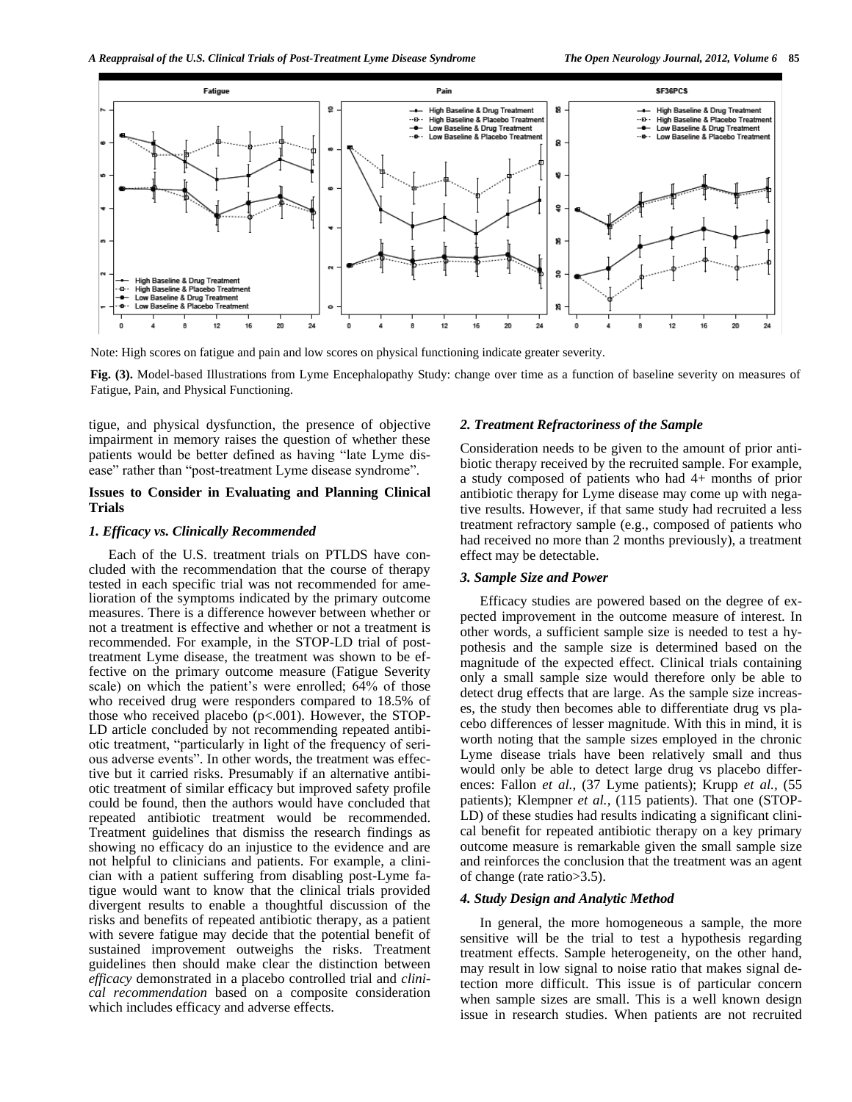

Note: High scores on fatigue and pain and low scores on physical functioning indicate greater severity.

**Fig. (3).** Model-based Illustrations from Lyme Encephalopathy Study: change over time as a function of baseline severity on measures of Fatigue, Pain, and Physical Functioning.

tigue, and physical dysfunction, the presence of objective impairment in memory raises the question of whether these patients would be better defined as having "late Lyme disease" rather than "post-treatment Lyme disease syndrome".

#### **Issues to Consider in Evaluating and Planning Clinical Trials**

#### *1. Efficacy vs. Clinically Recommended*

 Each of the U.S. treatment trials on PTLDS have concluded with the recommendation that the course of therapy tested in each specific trial was not recommended for amelioration of the symptoms indicated by the primary outcome measures. There is a difference however between whether or not a treatment is effective and whether or not a treatment is recommended. For example, in the STOP-LD trial of posttreatment Lyme disease, the treatment was shown to be effective on the primary outcome measure (Fatigue Severity scale) on which the patient's were enrolled; 64% of those who received drug were responders compared to 18.5% of those who received placebo  $(p<.001)$ . However, the STOP-LD article concluded by not recommending repeated antibiotic treatment, "particularly in light of the frequency of serious adverse events". In other words, the treatment was effective but it carried risks. Presumably if an alternative antibiotic treatment of similar efficacy but improved safety profile could be found, then the authors would have concluded that repeated antibiotic treatment would be recommended. Treatment guidelines that dismiss the research findings as showing no efficacy do an injustice to the evidence and are not helpful to clinicians and patients. For example, a clinician with a patient suffering from disabling post-Lyme fatigue would want to know that the clinical trials provided divergent results to enable a thoughtful discussion of the risks and benefits of repeated antibiotic therapy, as a patient with severe fatigue may decide that the potential benefit of sustained improvement outweighs the risks. Treatment guidelines then should make clear the distinction between *efficacy* demonstrated in a placebo controlled trial and *clinical recommendation* based on a composite consideration which includes efficacy and adverse effects.

#### *2. Treatment Refractoriness of the Sample*

Consideration needs to be given to the amount of prior antibiotic therapy received by the recruited sample. For example, a study composed of patients who had 4+ months of prior antibiotic therapy for Lyme disease may come up with negative results. However, if that same study had recruited a less treatment refractory sample (e.g., composed of patients who had received no more than 2 months previously), a treatment effect may be detectable.

## *3. Sample Size and Power*

 Efficacy studies are powered based on the degree of expected improvement in the outcome measure of interest. In other words, a sufficient sample size is needed to test a hypothesis and the sample size is determined based on the magnitude of the expected effect. Clinical trials containing only a small sample size would therefore only be able to detect drug effects that are large. As the sample size increases, the study then becomes able to differentiate drug vs placebo differences of lesser magnitude. With this in mind, it is worth noting that the sample sizes employed in the chronic Lyme disease trials have been relatively small and thus would only be able to detect large drug vs placebo differences: Fallon *et al.,* (37 Lyme patients); Krupp *et al.,* (55 patients); Klempner *et al.,* (115 patients). That one (STOP-LD) of these studies had results indicating a significant clinical benefit for repeated antibiotic therapy on a key primary outcome measure is remarkable given the small sample size and reinforces the conclusion that the treatment was an agent of change (rate ratio>3.5).

#### *4. Study Design and Analytic Method*

 In general, the more homogeneous a sample, the more sensitive will be the trial to test a hypothesis regarding treatment effects. Sample heterogeneity, on the other hand, may result in low signal to noise ratio that makes signal detection more difficult. This issue is of particular concern when sample sizes are small. This is a well known design issue in research studies. When patients are not recruited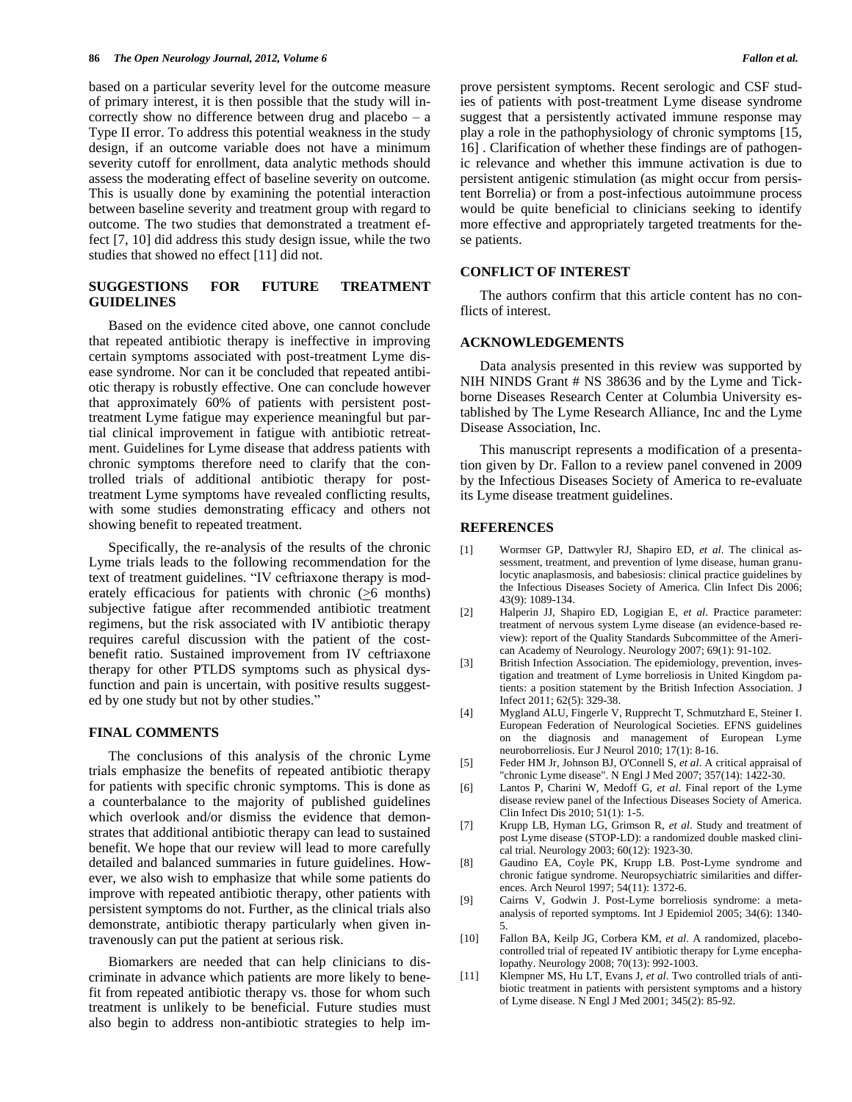based on a particular severity level for the outcome measure of primary interest, it is then possible that the study will incorrectly show no difference between drug and placebo – a Type II error. To address this potential weakness in the study design, if an outcome variable does not have a minimum severity cutoff for enrollment, data analytic methods should assess the moderating effect of baseline severity on outcome. This is usually done by examining the potential interaction between baseline severity and treatment group with regard to outcome. The two studies that demonstrated a treatment effect [7, 10] did address this study design issue, while the two studies that showed no effect [11] did not.

## **SUGGESTIONS FOR FUTURE TREATMENT GUIDELINES**

Based on the evidence cited above, one cannot conclude that repeated antibiotic therapy is ineffective in improving certain symptoms associated with post-treatment Lyme disease syndrome. Nor can it be concluded that repeated antibiotic therapy is robustly effective. One can conclude however that approximately 60% of patients with persistent posttreatment Lyme fatigue may experience meaningful but partial clinical improvement in fatigue with antibiotic retreatment. Guidelines for Lyme disease that address patients with chronic symptoms therefore need to clarify that the controlled trials of additional antibiotic therapy for posttreatment Lyme symptoms have revealed conflicting results, with some studies demonstrating efficacy and others not showing benefit to repeated treatment.

Specifically, the re-analysis of the results of the chronic Lyme trials leads to the following recommendation for the text of treatment guidelines. "IV ceftriaxone therapy is moderately efficacious for patients with chronic  $(≥6$  months) subjective fatigue after recommended antibiotic treatment regimens, but the risk associated with IV antibiotic therapy requires careful discussion with the patient of the costbenefit ratio. Sustained improvement from IV ceftriaxone therapy for other PTLDS symptoms such as physical dysfunction and pain is uncertain, with positive results suggested by one study but not by other studies."

#### **FINAL COMMENTS**

The conclusions of this analysis of the chronic Lyme trials emphasize the benefits of repeated antibiotic therapy for patients with specific chronic symptoms. This is done as a counterbalance to the majority of published guidelines which overlook and/or dismiss the evidence that demonstrates that additional antibiotic therapy can lead to sustained benefit. We hope that our review will lead to more carefully detailed and balanced summaries in future guidelines. However, we also wish to emphasize that while some patients do improve with repeated antibiotic therapy, other patients with persistent symptoms do not. Further, as the clinical trials also demonstrate, antibiotic therapy particularly when given intravenously can put the patient at serious risk.

Biomarkers are needed that can help clinicians to discriminate in advance which patients are more likely to benefit from repeated antibiotic therapy vs. those for whom such treatment is unlikely to be beneficial. Future studies must also begin to address non-antibiotic strategies to help improve persistent symptoms. Recent serologic and CSF studies of patients with post-treatment Lyme disease syndrome suggest that a persistently activated immune response may play a role in the pathophysiology of chronic symptoms [15, 16] . Clarification of whether these findings are of pathogenic relevance and whether this immune activation is due to persistent antigenic stimulation (as might occur from persistent Borrelia) or from a post-infectious autoimmune process would be quite beneficial to clinicians seeking to identify more effective and appropriately targeted treatments for these patients.

## **CONFLICT OF INTEREST**

The authors confirm that this article content has no conflicts of interest.

#### **ACKNOWLEDGEMENTS**

Data analysis presented in this review was supported by NIH NINDS Grant # NS 38636 and by the Lyme and Tickborne Diseases Research Center at Columbia University established by The Lyme Research Alliance, Inc and the Lyme Disease Association, Inc.

This manuscript represents a modification of a presentation given by Dr. Fallon to a review panel convened in 2009 by the Infectious Diseases Society of America to re-evaluate its Lyme disease treatment guidelines.

#### **REFERENCES**

- [1] Wormser GP, Dattwyler RJ, Shapiro ED, *et al*. The clinical assessment, treatment, and prevention of lyme disease, human granulocytic anaplasmosis, and babesiosis: clinical practice guidelines by the Infectious Diseases Society of America. Clin Infect Dis 2006; 43(9): 1089-134.
- [2] Halperin JJ, Shapiro ED, Logigian E, *et al*. Practice parameter: treatment of nervous system Lyme disease (an evidence-based review): report of the Quality Standards Subcommittee of the American Academy of Neurology. Neurology 2007; 69(1): 91-102.
- [3] British Infection Association. The epidemiology, prevention, investigation and treatment of Lyme borreliosis in United Kingdom patients: a position statement by the British Infection Association. J Infect 2011; 62(5): 329-38.
- [4] Mygland ALU, Fingerle V, Rupprecht T, Schmutzhard E, Steiner I. European Federation of Neurological Societies. EFNS guidelines on the diagnosis and management of European Lyme neuroborreliosis. Eur J Neurol 2010; 17(1): 8-16.
- [5] Feder HM Jr, Johnson BJ, O'Connell S, *et al*. A critical appraisal of "chronic Lyme disease". N Engl J Med 2007; 357(14): 1422-30.
- [6] Lantos P, Charini W, Medoff G, *et al*. Final report of the Lyme disease review panel of the Infectious Diseases Society of America. Clin Infect Dis 2010; 51(1): 1-5.
- [7] Krupp LB, Hyman LG, Grimson R, *et al*. Study and treatment of post Lyme disease (STOP-LD): a randomized double masked clinical trial. Neurology 2003; 60(12): 1923-30.
- [8] Gaudino EA, Coyle PK, Krupp LB. Post-Lyme syndrome and chronic fatigue syndrome. Neuropsychiatric similarities and differences. Arch Neurol 1997; 54(11): 1372-6.
- [9] Cairns V, Godwin J. Post-Lyme borreliosis syndrome: a metaanalysis of reported symptoms. Int J Epidemiol 2005; 34(6): 1340- 5.
- [10] Fallon BA, Keilp JG, Corbera KM, *et al*. A randomized, placebocontrolled trial of repeated IV antibiotic therapy for Lyme encephalopathy. Neurology 2008; 70(13): 992-1003.
- [11] Klempner MS, Hu LT, Evans J, *et al*. Two controlled trials of antibiotic treatment in patients with persistent symptoms and a history of Lyme disease. N Engl J Med 2001; 345(2): 85-92.